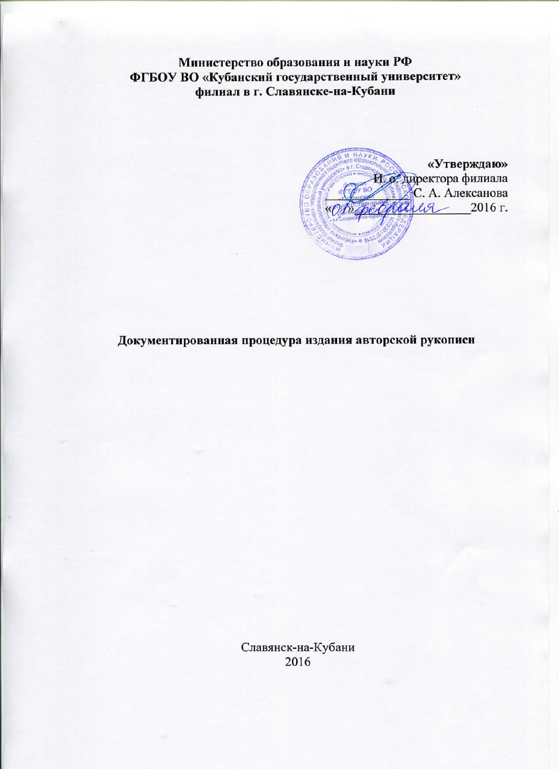Министерство образования и науки РФ ФГБОУ ВО «Кубанский государственный университет» филиал в г. Славянске-на-Кубани

«Утверждаю» 1. о. директора филиала С. А. Алексанова 2016 г.  $^{\prime}a$ 

Документированная процедура издания авторской рукописи

Славянск-на-Кубани 2016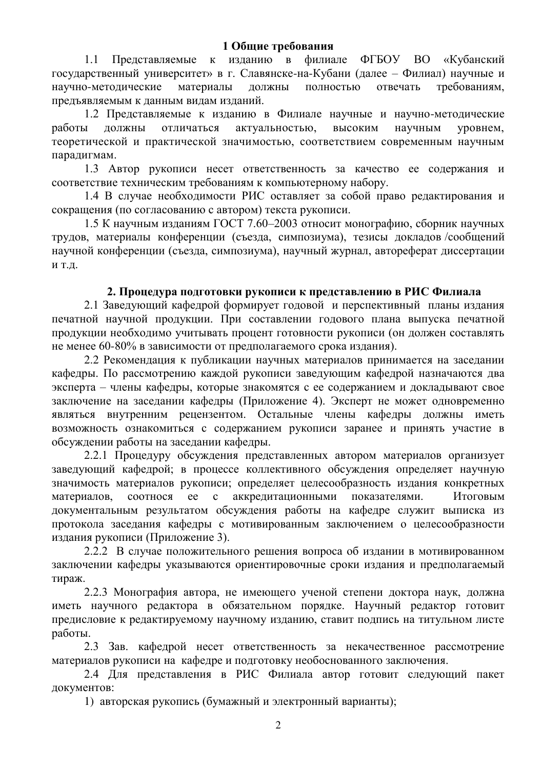1.1 Представляемые к изданию в филиале ФГБОУ ВО «Кубанский государственный университет» в г. Славянске-на-Кубани (далее – Филиал) научные и научно-методические материалы должны полностью отвечать требованиям, предъявляемым к данным видам изданий.

1.2 Представляемые к изданию в Филиале научные и научно-методические работы должны отличаться актуальностью, высоким научным уровнем, теоретической и практической значимостью, соответствием современным научным парадигмам.

1.3 Автор рукописи несет ответственность за качество ее содержания и соответствие техническим требованиям к компьютерному набору.

1.4 В случае необходимости РИС оставляет за собой право редактирования и сокращения (по согласованию с автором) текста рукописи.

1.5 К научным изданиям ГОСТ 7.60–2003 относит монографию, сборник научных трудов, материалы конференции (съезда, симпозиума), тезисы докладов/сообщений научной конференции (съезда, симпозиума), научный журнал, автореферат диссертации И Т.Д.

# 2. Процедура подготовки рукописи к представлению в РИС Филиала

2.1 Заведующий кафедрой формирует годовой и перспективный планы издания печатной научной продукции. При составлении годового плана выпуска печатной продукции необходимо учитывать процент готовности рукописи (он должен составлять не менее 60-80% в зависимости от предполагаемого срока издания).

2.2 Рекомендация к публикации научных материалов принимается на заседании кафедры. По рассмотрению каждой рукописи заведующим кафедрой назначаются два эксперта – члены кафедры, которые знакомятся с ее содержанием и докладывают свое заключение на заседании кафедры (Приложение 4). Эксперт не может одновременно являться внутренним рецензентом. Остальные члены кафедры должны иметь возможность ознакомиться с содержанием рукописи заранее и принять участие в обсуждении работы на заседании кафедры.

2.2.1 Процедуру обсуждения представленных автором материалов организует заведующий кафедрой; в процессе коллективного обсуждения определяет научную значимость материалов рукописи; определяет целесообразность издания конкретных материалов, соотнося ее с аккредитационными показателями. Итоговым документальным результатом обсуждения работы на кафедре служит выписка из протокола заседания кафедры с мотивированным заключением о целесообразности излания рукописи (Приложение 3).

2.2.2 В случае положительного решения вопроса об издании в мотивированном заключении кафедры указываются ориентировочные сроки издания и предполагаемый тираж.

2.2.3 Монография автора, не имеющего ученой степени доктора наук, должна иметь научного редактора в обязательном порядке. Научный редактор готовит предисловие к редактируемому научному изданию, ставит подпись на титульном листе работы.

2.3 Зав. кафедрой несет ответственность за некачественное рассмотрение материалов рукописи на кафедре и подготовку необоснованного заключения.

2.4 Для представления в РИС Филиала автор готовит следующий пакет документов:

1) авторская рукопись (бумажный и электронный варианты);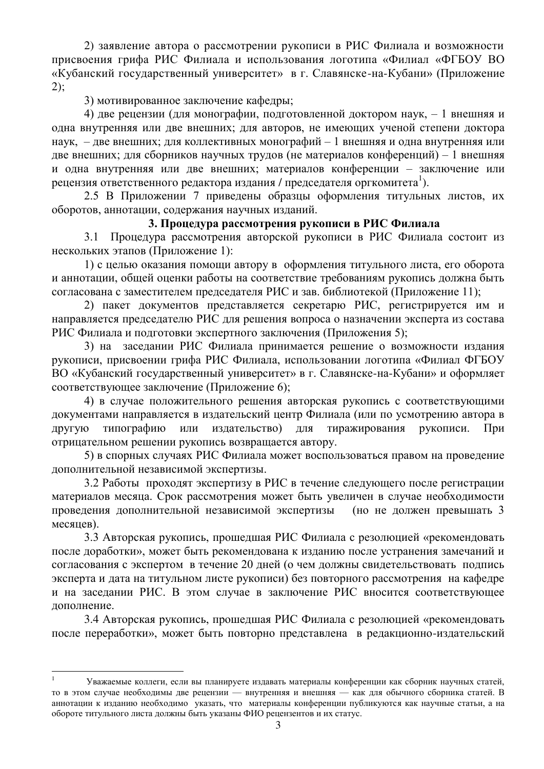2) заявление автора о рассмотрении рукописи в РИС Филиала и возможности присвоения грифа РИС Филиала и использования логотипа «Филиал «ФГБОУ ВО «Кубанский государственный университет» в г. Славянске-на-Кубани» (Приложение 2);

3) мотивированное заключение кафедры;

4) две рецензии (для монографии, подготовленной доктором наук, - 1 внешняя и одна внутренняя или две внешних; для авторов, не имеющих ученой степени доктора наук, – две внешних; для коллективных монографий – 1 внешняя и одна внутренняя или две внешних; для сборников научных трудов (не материалов конференций) – 1 внешняя и одна внутренняя или две внешних; материалов конференции – заключение или рецензия ответственного редактора издания / председателя оргкомитета<sup>1</sup>).

2.5 В Приложении 7 приведены образцы оформления титульных листов, их оборотов, аннотации, содержания научных изданий.

# 3. Процедура рассмотрения рукописи в РИС Филиала

3.1 Процедура рассмотрения авторской рукописи в РИС Филиала состоит из нескольких этапов (Приложение 1):

1) с целью оказания помощи автору в оформления титульного листа, его оборота и аннотации, общей оценки работы на соответствие требованиям рукопись должна быть согласована с заместителем председателя РИС и зав. библиотекой (Приложение 11);

2) пакет документов представляется секретарю РИС, регистрируется им и направляется председателю РИС для решения вопроса о назначении эксперта из состава РИС Филиала и подготовки экспертного заключения (Приложения 5);

3) на заседании РИС Филиала принимается решение о возможности издания рукописи, присвоении грифа РИС Филиала, использовании логотипа «Филиал ФГБОУ ВО «Кубанский государственный университет» в г. Славянске-на-Кубани» и оформляет соответствующее заключение (Приложение 6);

4) в случае положительного решения авторская рукопись с соответствующими документами направляется в издательский центр Филиала (или по усмотрению автора в другую типографию или издательство) для тиражирования рукописи. При отрицательном решении рукопись возвращается автору.

5) в спорных случаях РИС Филиала может воспользоваться правом на проведение дополнительной независимой экспертизы.

3.2 Работы проходят экспертизу в РИС в течение следующего после регистрации материалов месяца. Срок рассмотрения может быть увеличен в случае необходимости проведения дополнительной независимой экспертизы (но не должен превышать 3 месяцев).

3.3 Авторская рукопись, прошелшая РИС Филиала с резолюцией «рекомендовать после доработки», может быть рекомендована к изданию после устранения замечаний и согласования с экспертом в течение 20 дней (о чем должны свидетельствовать подпись эксперта и дата на титульном листе рукописи) без повторного рассмотрения на кафедре и на заседании РИС. В этом случае в заключение РИС вносится соответствующее лополнение.

3.4 Авторская рукопись, прошедшая РИС Филиала с резолюцией «рекомендовать после переработки», может быть повторно представлена в редакционно-издательский

-

<sup>1</sup> Уважаемые коллеги, если вы планируете издавать материалы конференции как сборник научных статей, то в этом случае необходимы две рецензии — внутренняя и внешняя — как для обычного сборника статей. В аннотации к изданию необходимо указать, что материалы конференции публикуются как научные статьи, а на обороте титульного листа должны быть указаны ФИО рецензентов и их статус.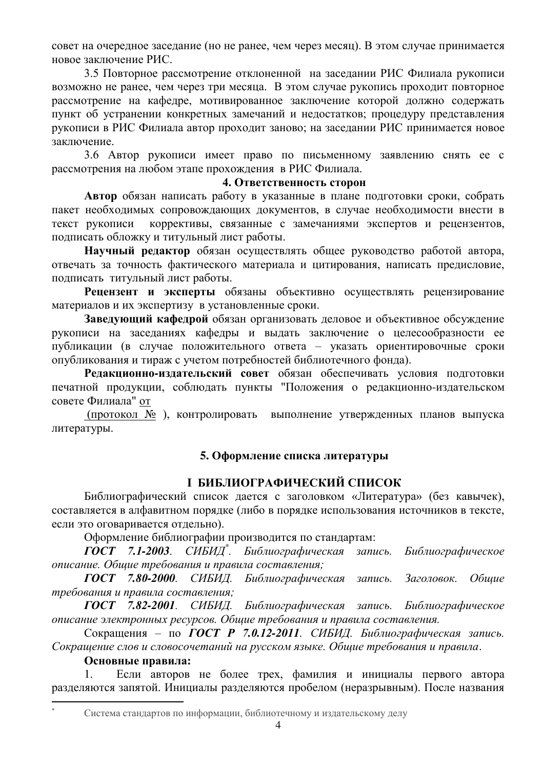совет на очередное заседание (но не ранее, чем через месяц). В этом случае принимается HOBOe заключение РИС.

3.5 Повторное рассмотрение отклоненной на заседании РИС Филиала рукописи возможно не ранее, чем через три месяца. В этом случае рукопись проходит повторное рассмотрение на кафедре, мотивированное заключение которой должно содержать пункт об устранении конкретных замечаний и недостатков; процедуру представления рукописи в РИС Филиала автор проходит заново; на заседании РИС принимается новое заключение.

3.6 Автор рукописи имеет право по письменному заявлению снять ее с рассмотрения на любом этапе прохождения в РИС Филиала.

# **4. Ответственность сторон**

**Автор** обязан написать работу в указанные в плане подготовки сроки, собрать пакет необходимых сопровождающих документов, в случае необходимости внести в текст рукописи коррективы, связанные с замечаниями экспертов и рецензентов, подписать обложку и титульный лист работы.

Научный редактор обязан осуществлять общее руководство работой автора, отвечать за точность фактического материала и цитирования, написать предисловие, полписать титульный лист работы.

Рецензент и эксперты обязаны объективно осуществлять рецензирование материалов и их экспертизу в установленные сроки.

Заведующий кафедрой обязан организовать деловое и объективное обсуждение рукописи на заседаниях кафедры и выдать заключение о целесообразности ее публикации (в случае положительного ответа – указать ориентировочные сроки опубликования и тираж с учетом потребностей библиотечного фонда).

Редакционно-издательский совет обязан обеспечивать условия подготовки печатной продукции, соблюдать пункты "Положения о редакционно-издательском совете Филиала" от

(протокол № ), контролировать выполнение утвержденных планов выпуска литературы.

# 5. Оформление списка литературы

# **І БИБЛИОГРАФИЧЕСКИЙ СПИСОК**

Библиографический список дается с заголовком «Литература» (без кавычек), составляется в алфавитном порядке (либо в порядке использования источников в тексте, если это оговаривается отдельно).

Оформление библиографии производится по стандартам:

 $F\overline{OCT}$  7.1-2003. СИБИД<sup>\*</sup>. Библиографическая запись. Библиографическое  $onucanue$ . Обшие требования и правила составления;

ГОСТ 7.80-2000. СИБИД. Библиографическая запись. Заголовок. Общие требования и правила составления;

ГОСТ 7.82-2001. СИБИД. Библиографическая запись. Библиографическое *описание электронных ресурсов. Общие требования и правила составления.* 

Сокращения – по ГОСТ Р 7.0.12<sup>*-2011*. СИБИД. Библиографическая запись.</sup> Сокращение слов и словосочетаний на русском языке. Общие требования и правила.

# Основные правила:

Если авторов не более трех, фамилия и инициалы первого автора разделяются запятой. Инициалы разделяются пробелом (неразрывным). После названия

-

Система стандартов по информации, библиотечному и издательскому делу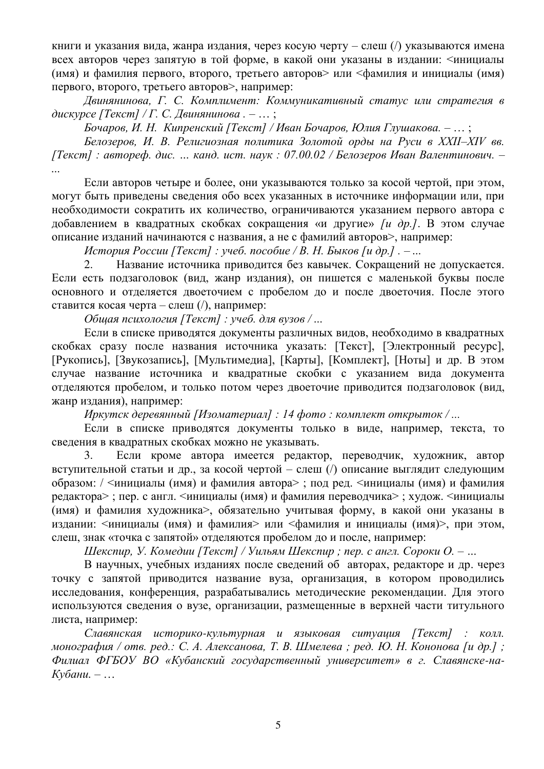книги и указания вида, жанра издания, через косую черту – слеш (/) указываются имена всех авторов через запятую в той форме, в какой они указаны в издании: <инициалы (имя) и фамилия первого, второго, третьего авторов> или <фамилия и инициалы (имя) первого, второго, третьего авторов>, например:

Двинянинова, Г. С. Комплимент: Коммуникативный статус или стратегия в дискурсе [Текст] / Г. С. Двинянинова. - ...;

Бочаров, И. Н. Кипренский [Текст] / Иван Бочаров, Юлия Глушакова. – … ;

Белозеров, И. В. Религиозная политика Золотой орды на Руси в XXII–XIV вв. *[Ɍɟɤɫɬ] : ɚɜɬɨɪɟɮ. ɞɢɫ. … ɤɚɧɞ. ɢɫɬ. ɧɚɭɤ : 07.00.02 / Ȼɟɥɨɡɟɪɨɜ ɂɜɚɧ ȼɚɥɟɧɬɢɧɨɜɢɱ. – ...* 

Если авторов четыре и более, они указываются только за косой чертой, при этом, могут быть приведены сведения обо всех указанных в источнике информации или, при необходимости сократить их количество, ограничиваются указанием первого автора с добавлением в квадратных скобках сокращения «и другие» *[и др.]*. В этом случае описание изданий начинаются с названия, а не с фамилий авторов>, например:

*История России [Текст] : учеб. пособие / В. Н. Быков [и др.] . – ...* 

2. Название источника приводится без кавычек. Сокращений не допускается. Если есть подзаголовок (вид, жанр издания), он пишется с маленькой буквы после основного и отделяется двоеточием с пробелом до и после двоеточия. После этого ставится косая черта – слеш  $\left(\right)$ , например:

Общая психология [Текст] : үчеб. для вузов / ...

Если в списке приводятся документы различных видов, необходимо в квадратных скобках сразу после названия источника указать: [Текст], [Электронный ресурс], [Рукопись], [Звукозапись], [Мультимедиа], [Карты], [Комплект], [Ноты] и др. В этом случае название источника и квадратные скобки с указанием вида документа отделяются пробелом, и только потом через двоеточие приводится подзаголовок (вид, жанр издания), например:

 $$*domo* : *комилект открыток / ...*$$ 

Если в списке приводятся документы только в виде, например, текста, то сведения в квадратных скобках можно не указывать.

3. Если кроме автора имеется редактор, переводчик, художник, автор вступительной статьи и др., за косой чертой – слеш (/) описание выглядит следующим образом: / <инициалы (имя) и фамилия автора>; под ред. <инициалы (имя) и фамилия редактора>; пер. с англ. <инициалы (имя) и фамилия переводчика>; худож. <инициалы (имя) и фамилия художника>, обязательно учитывая форму, в какой они указаны в издании: <инициалы (имя) и фамилия> или <фамилия и инициалы (имя)>, при этом, слеш, знак «точка с запятой» отделяются пробелом до и после, например:

Шекспир, У. Комедии [Текст] / Уильям Шекспир; пер. с англ. Сороки О. – ...

В научных, учебных изданиях после сведений об авторах, редакторе и др. через точку с запятой приводится название вуза, организация, в котором проводились исследования, конференция, разрабатывались методические рекомендации. Для этого используются сведения о вузе, организации, размещенные в верхней части титульного листа, например:

Славянская историко-культурная и языковая ситуация [Текст] : колл.  $M$ онография / отв. ред.: С. А. Алексанова, Т. В. Шмелева; ред. Ю. Н. Кононова [и др.];  $\Phi$ илиал ФГБОУ ВО «Кубанский государственный университет» в г. Славянске-на-*Ʉɭɛɚɧɢ.* – …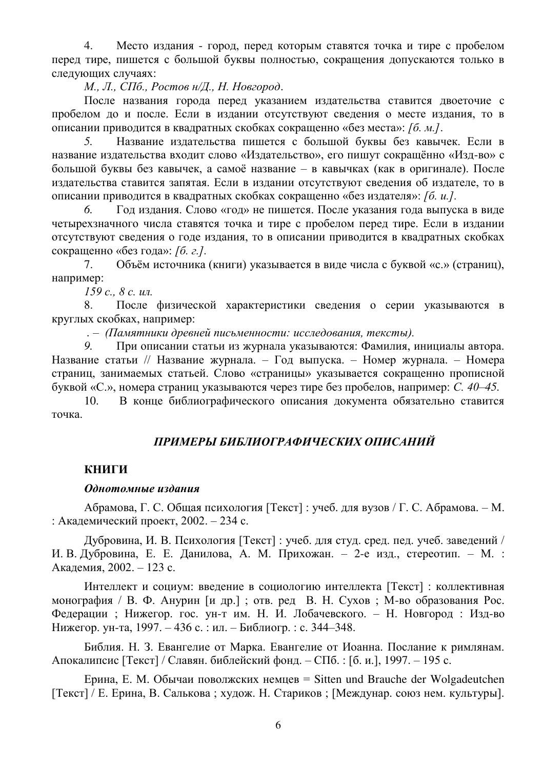4. Место издания - город, перед которым ставятся точка и тире с пробелом перед тире, пишется с большой буквы полностью, сокращения допускаются только в следующих случаях:

*М., Л., СПб., Ростов н/Д., Н. Новгород.* 

После названия города перед указанием издательства ставится двоеточие с пробелом до и после. Если в издании отсутствуют сведения о месте издания, то в описании приводится в квадратных скобках сокращенно «без места»: *[б. м.]*.

5. Название издательства пишется с большой буквы без кавычек. Если в название издательства входит слово «Издательство», его пишут сокращённо «Изд-во» с большой буквы без кавычек, а самоё название – в кавычках (как в оригинале). После издательства ставится запятая. Если в издании отсутствуют сведения об издателе, то в описании приводится в квадратных скобках сокращенно «без издателя»: *[6. и.].* 

6. Год издания. Слово «год» не пишется. После указания года выпуска в виде четырехзначного числа ставятся точка и тире с пробелом перед тире. Если в издании отсутствуют сведения о годе издания, то в описании приводится в квадратных скобках сокращенно «без года»: *[б. г.]*.

7. Объём источника (книги) указывается в виде числа с буквой «с.» (страниц), например:

*159 с., 8 с. ил.* 

8. После физической характеристики сведения о серии указываются в круглых скобках, например:

 $. -$  (Памятники древней письменности: исследования, тексты).

9. При описании статьи из журнала указываются: Фамилия, инициалы автора. Название статьи // Название журнала. – Год выпуска. – Номер журнала. – Номера страниц, занимаемых статьей. Слово «страницы» указывается сокращенно прописной буквой «С.», номера страниц указываются через тире без пробелов, например: *С. 40–45.* 

10. В конце библиографического описания документа обязательно ставится точка.

# ПРИМЕРЫ БИБЛИОГРАФИЧЕСКИХ ОПИСАНИЙ

# **КНИГИ**

#### Однотомные издания

Абрамова, Г. С. Общая психология [Текст] : учеб. для вузов / Г. С. Абрамова. – М. : Академический проект,  $2002 - 234$  с.

Дубровина, И. В. Психология [Текст] : учеб. для студ. сред. пед. учеб. заведений / И. В. Дубровина, Е. Е. Данилова, А. М. Прихожан. – 2-е изд., стереотип. – М. : Акалемия, 2002. – 123 с.

Интеллект и социум: введение в социологию интеллекта [Текст] : коллективная монография / В. Ф. Анурин [и др.]; отв. ред В. Н. Сухов; М-во образования Рос. Федерации; Нижегор. гос. ун-т им. Н. И. Лобачевского. – Н. Новгород: Изд-во Нижегор. ун-та, 1997. – 436 с. : ил. – Библиогр. : с. 344–348.

Библия. Н. З. Евангелие от Марка. Евангелие от Иоанна. Послание к римлянам. Апокалипсис [Текст] / Славян. библейский фонд. – СПб.: [б. и.], 1997. – 195 с.

Eрина, Е. М. Обычаи поволжских немцев = Sitten und Brauche der Wolgadeutchen [Текст] / Е. Ерина, В. Салькова; худож. Н. Стариков; [Междунар. союз нем. культуры].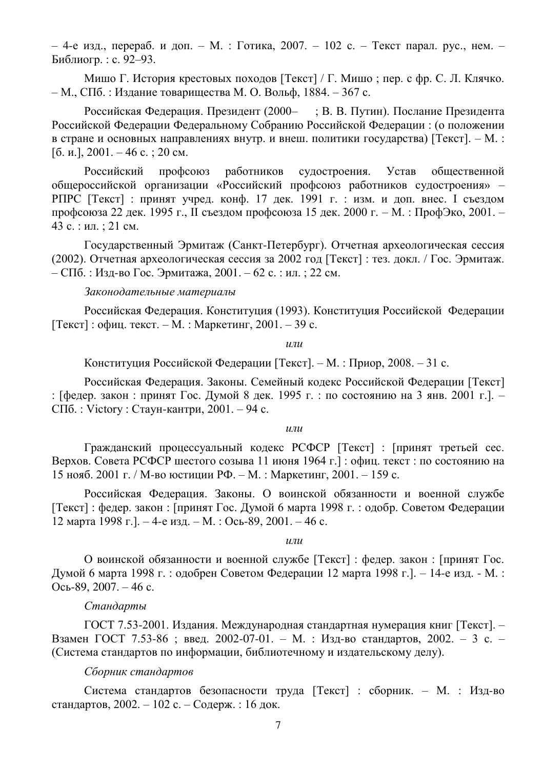– 4-е изд., перераб. и доп. – М. : Готика, 2007. – 102 с. – Текст парал. рус., нем. – Библиогр.: с. 92–93.

Мишо Г. История крестовых походов [Текст] / Г. Мишо : пер. с фр. С. Л. Клячко. – М., СПб. : Издание товарищества М. О. Вольф, 1884. – 367 с.

Российская Федерация. Президент (2000– ; В. В. Путин). Послание Президента Российской Федерации Федеральному Собранию Российской Федерации: (о положении в стране и основных направлениях внутр. и внеш. политики государства) [Текст]. – М. : [б. и.],  $2001. - 46$  c.;  $20$  cm.

Российский профсоюз работников судостроения. Устав общественной общероссийской организации «Российский профсоюз работников судостроения» – РПРС [Текст] : принят учред. конф. 17 дек. 1991 г. : изм. и доп. внес. I съездом профсоюза 22 дек. 1995 г., II съездом профсоюза 15 дек. 2000 г. – М. : ПрофЭко, 2001. – 43 с. : ил. ; 21 см.

Государственный Эрмитаж (Санкт-Петербург). Отчетная археологическая сессия (2002). Отчетная археологическая сессия за 2002 год [Текст] : тез. докл. / Гос. Эрмитаж. – СПб. : Изд-во Гос. Эрмитажа, 2001. – 62 с. : ил. ; 22 см.

#### Законодательные материалы

Российская Федерация. Конституция (1993). Конституция Российской Федерации [Текст] : офиц. текст. – М. : Маркетинг, 2001. – 39 с.

 $\overline{u}$ 

Конституция Российской Федерации [Текст]. – М.: Приор, 2008. – 31 с.

Российская Федерация. Законы. Семейный колекс Российской Федерации [Текст] : [федер. закон : принят Гос. Думой 8 дек. 1995 г. : по состоянию на 3 янв. 2001 г.]. – СПб. : Victory : Стаун-кантри, 2001. – 94 с.

#### $\boldsymbol{u}$

Гражданский процессуальный кодекс РСФСР [Текст] : [принят третьей сес. Верхов. Совета РСФСР шестого созыва 11 июня 1964 г.] : офиц. текст : по состоянию на 15 нояб. 2001 г. / М-во юстиции РФ. – М. : Маркетинг, 2001. – 159 с.

Российская Федерация. Законы. О воинской обязанности и военной службе  $[Tekcr]$ : федер. закон : [принят Гос. Думой 6 марта 1998 г. : одобр. Советом Федерации 12 марта 1998 г.]. – 4-е изд. – М. : Ось-89, 2001. – 46 с.

 $\mu$ *J* $\mu$ 

О воинской обязанности и военной службе [Текст] : федер. закон : [принят Гос. Думой 6 марта 1998 г. : одобрен Советом Федерации 12 марта 1998 г. ]. – 14-е изд. - М. : Ось-89, 2007. – 46 с.

# $C$ тандарты

ГОСТ 7.53-2001. Излания. Международная стандартная нумерация книг [Текст]. – Взамен ГОСТ 7.53-86 ; введ. 2002-07-01. – М. : Изд-во стандартов, 2002. – 3 с. – (Система стандартов по информации, библиотечному и издательскому делу).

#### Сборник стандартов

Система стандартов безопасности труда [Текст] : сборник. – М. : Изд-во стандартов, 2002. – 102 с. – Содерж. : 16 док.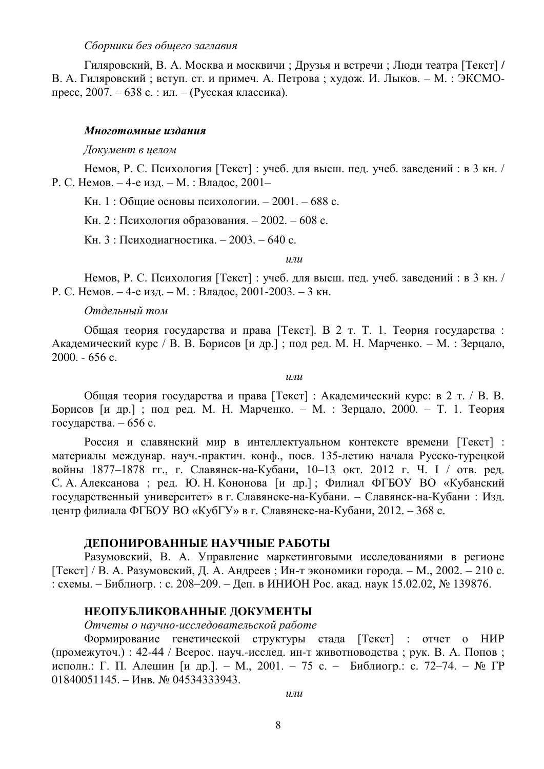## Сборники без общего заглавия

Гиляровский, В. А. Москва и москвичи; Друзья и встречи; Люди театра [Текст] / В. А. Гиляровский: вступ. ст. и примеч. А. Петрова: хулож. И. Лыков. – М.: ЭКСМОпресс, 2007. – 638 с. : ил. – (Русская классика).

#### Многотомные издания

#### Документ в целом

Немов, Р. С. Психология [Текст] : учеб. для высш. пед. учеб. заведений : в 3 кн. / Р. С. Немов. – 4-е изд. – М. : Владос, 2001–

Кн. 1 : Общие основы психологии. – 2001. – 688 с.

Кн. 2 : Психология образования. – 2002. – 608 с.

Кн. 3 : Психодиагностика. – 2003. – 640 с.

 $\boldsymbol{u}$ 

Немов, Р. С. Психология [Текст] : учеб. для высш. пед. учеб. заведений : в 3 кн. / Р. С. Немов. – 4-е изд. – М. : Владос, 2001-2003. – 3 кн.

#### $O$ *тдельный том*

Общая теория государства и права [Текст]. В 2 т. Т. 1. Теория государства: Академический курс / В. В. Борисов [и др.]; под ред. М. Н. Марченко. – М. : Зерцало,  $2000 - 656$  c.

 $\mu$ *nu* 

Общая теория государства и права [Текст] : Академический курс: в 2 т. / В. В. Борисов [и др.]; под ред. М. Н. Марченко. – М. : Зерцало, 2000. – Т. 1. Теория государства. – 656 с.

Россия и славянский мир в интеллектуальном контексте времени [Текст] : материалы междунар. науч.-практич. конф., посв. 135-летию начала Русско-турецкой войны 1877–1878 гг., г. Славянск-на-Кубани, 10–13 окт. 2012 г. Ч. I / отв. ред. С. А. Алексанова; ред. Ю. Н. Кононова [и др.]; Филиал ФГБОУ ВО «Кубанский государственный университет» в г. Славянске-на-Кубани. – Славянск-на-Кубани: Изд. центр филиала ФГБОУ ВО «КубГУ» в г. Славянске-на-Кубани, 2012. – 368 с.

## **ЛЕПОНИРОВАННЫЕ НАУЧНЫЕ РАБОТЫ**

Разумовский, В. А. Управление маркетинговыми исследованиями в регионе  $[Tekcr]$  / В. А. Разумовский, Д. А. Андреев; Ин-т экономики города. – М., 2002. – 210 с. : схемы. – Библиогр. : с. 208–209. – Деп. в ИНИОН Рос. акад. наук 15.02.02, № 139876.

## НЕОПУБЛИКОВАННЫЕ ДОКУМЕНТЫ

*Ɉɬɱɟɬɵ ɨ ɧɚɭɱɧɨ-ɢɫɫɥɟɞɨɜɚɬɟɥɶɫɤɨɣ ɪɚɛɨɬɟ*

Формирование генетической структуры стада [Текст] : отчет о НИР (промежуточ.) : 42-44 / Всерос. науч.-исслед. ин-т животноводства ; рук. В. А. Попов; исполн.: Г. П. Алешин [и др.]. – М., 2001. – 75 с. – Библиогр.: с. 72–74. – № ГР  $01840051145. -$  Инв. № 04534333943.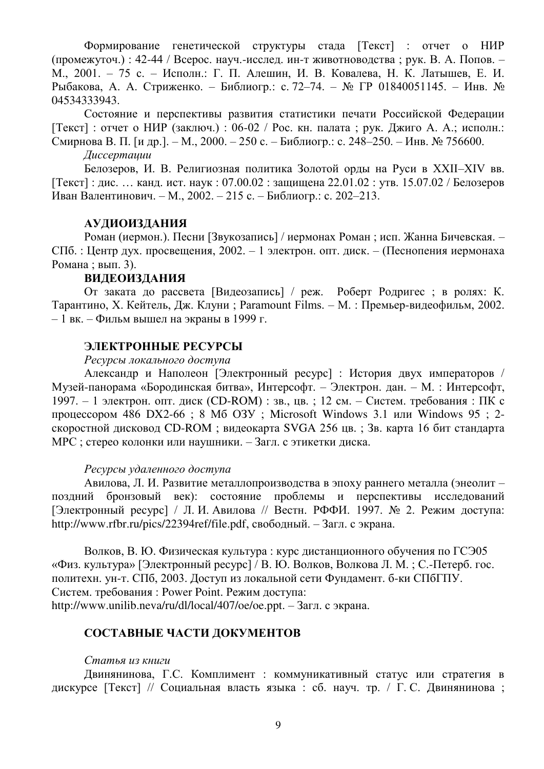Формирование генетической структуры стада [Текст] : отчет о НИР (промежуточ.) : 42-44 / Всерос. науч.-исслед. ин-т животноводства ; рук. В. А. Попов. – М., 2001. – 75 с. – Исполн.: Г. П. Алешин, И. В. Ковалева, Н. К. Латышев, Е. И. Рыбакова, А. А. Стриженко. – Библиогр.: с. 72–74. – № ГР 01840051145. – Инв. № 04534333943.

Состояние и перспективы развития статистики печати Российской Федерации [Текст] : отчет о НИР (заключ.) : 06-02 / Рос. кн. палата ; рук. Джиго А. А.; исполн.: Смирнова В. П. [и др.]. – М., 2000. – 250 с. – Библиогр.: с. 248–250. – Инв. № 756600.

*Ⱦɢɫɫɟɪɬɚɰɢɢ*

Белозеров, И. В. Религиозная политика Золотой орды на Руси в XXII–XIV вв.  $[Texter]$ : дис. ... канд. ист. наук: 07.00.02 : защищена 22.01.02 : утв. 15.07.02 / Белозеров Иван Валентинович. – М., 2002. – 215 с. – Библиогр.: с. 202–213.

#### **АУДИОИЗДАНИЯ**

Роман (иермон.). Песни [Звукозапись] / иермонах Роман; исп. Жанна Бичевская. – СПб. : Центр дух. просвещения, 2002. – 1 электрон. опт. диск. – (Песнопения иермонаха Романа; вып. 3).

# **ВИДЕОИЗДАНИЯ**

От заката до рассвета [Видеозапись] / реж. Роберт Родригес ; в ролях: К. Tарантино, X. Кейтель, Лж. Клуни; Paramount Films. – М. : Премьер-видеофильм, 2002. – 1 вк. – Фильм вышел на экраны в 1999 г.

#### ЭЛЕКТРОННЫЕ РЕСУРСЫ

#### Ресурсы локального доступа

Александр и Наполеон [Электронный ресурс] : История двух императоров / Музей-панорама «Бородинская битва», Интерсофт. – Электрон. дан. – М. : Интерсофт, 1997. – 1 электрон. опт. диск (CD-ROM) : зв., цв. ; 12 см. – Систем. требования : ПК с процессором 486 DX2-66 ; 8 Мб ОЗУ ; Microsoft Windows 3.1 или Windows 95 ; 2скоростной дисковод CD-ROM ; видеокарта SVGA 256 цв. ; Зв. карта 16 бит стандарта МРС ; стерео колонки или наушники. – Загл. с этикетки диска.

#### Ресурсы удаленного доступа

Авилова, Л. И. Развитие металлопроизводства в эпоху раннего металла (энеолит – поздний бронзовый век): состояние проблемы и перспективы исследований [Электронный ресурс] / Л. И. Авилова // Вестн. РФФИ. 1997. № 2. Режим доступа: http://www.rfbr.ru/pics/22394ref/file.pdf, свободный. – Загл. с экрана.

Волков, В. Ю. Физическая культура : курс дистанционного обучения по ГСЭ05 «Физ. культура» [Электронный ресурс] / В. Ю. Волков, Волкова Л. М. ; С.-Петерб. гос. политехн. ун-т. СПб, 2003. Доступ из локальной сети Фундамент. б-ки СПбГПУ. Систем. требования : Power Point. Режим доступа:

http://www.unilib.neva/ru/dl/local/407/oe/oe.ppt. –  $3a\tau\pi$ . c  $3x\tau\pi$ .

# СОСТАВНЫЕ ЧАСТИ ДОКУМЕНТОВ

#### Cтатья из книги

Двинянинова, Г.С. Комплимент : коммуникативный статус или стратегия в дискурсе [Текст] // Социальная власть языка : сб. науч. тр. / Г.С. Двинянинова;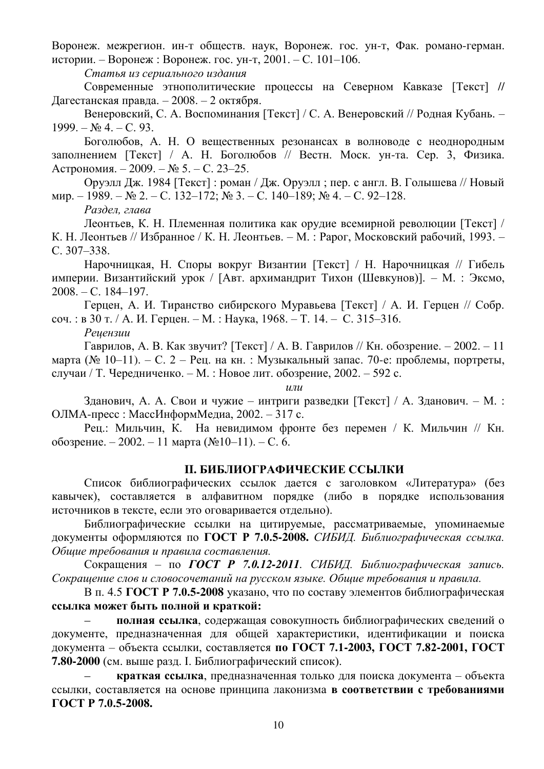Воронеж. межрегион. ин-т обществ. наук, Воронеж. гос. ун-т, Фак. романо-герман. истории. – Воронеж : Воронеж. гос. ун-т, 2001. – С. 101–106.

Статья из сериального издания

Современные этнополитические процессы на Северном Кавказе [Текст] // Дагестанская правда. – 2008. – 2 октября.

Венеровский, С. А. Воспоминания [Текст] / С. А. Венеровский // Родная Кубань. –  $1999. - N<sub>2</sub>4. - C. 93.$ 

Боголюбов, А. Н. О вещественных резонансах в волноводе с неоднородным заполнением [Текст] / А. Н. Боголюбов // Вестн. Моск. ун-та. Сер. 3, Физика.  $A$ строномия. – 2009. – № 5. – С. 23–25.

Оруэлл Дж. 1984 [Текст] : роман / Дж. Оруэлл ; пер. с англ. В. Голышева // Новый  $\text{MMD.} - 1989. - \text{N}_2$  2. – C. 132–172;  $\text{N}_2$  3. – C. 140–189;  $\text{N}_2$  4. – C. 92–128.

Раздел, глава

Леонтьев, К. Н. Племенная политика как орудие всемирной революции [Текст] / К. Н. Леонтьев // Избранное / К. Н. Леонтьев. – М. : Рарог, Московский рабочий, 1993. – C. 307–338.

Нарочницкая, Н. Споры вокруг Византии [Текст] / Н. Нарочницкая // Гибель империи. Византийский урок / [Авт. архимандрит Тихон (Шевкунов)]. – М. : Эксмо,  $2008. - C. 184 - 197.$ 

Герцен, А. И. Тиранство сибирского Муравьева [Текст] / А. И. Герцен // Собр.  $co$ ч. : в 30 т. / А. И. Герцен. – М. : Наука, 1968. – Т. 14. – С. 315–316.

 $Peu$ ензии

 $\Gamma$ аврилов, А. В. Как звучит? [Текст] / А. В. Гаврилов // Кн. обозрение. – 2002. – 11 марта (№ 10–11). – С. 2 – Рец. на кн. : Музыкальный запас. 70-е: проблемы, портреты, случаи / Т. Чередниченко. – М. : Новое лит. обозрение, 2002. – 592 с.

 $\mu$ *nu* 

Зданович, А. А. Свои и чужие – интриги разведки [Текст] / А. Зданович. – М. : ОЛМА-пресс: МассИнформМедиа, 2002. – 317 с.

Рец.: Мильчин, К. На невидимом фронте без перемен / К. Мильчин // Кн.  $66$ озрение. – 2002. – 11 марта (№10–11). – С. 6.

# **ІІ. БИБЛИОГРАФИЧЕСКИЕ ССЫЛКИ**

Список библиографических ссылок дается с заголовком «Литература» (без кавычек), составляется в алфавитном порядке (либо в порядке использования источников в тексте, если это оговаривается отдельно).

Библиографические ссылки на цитируемые, рассматриваемые, упоминаемые документы оформляются по ГОСТ Р 7.0.5-2008. СИБИД. Библиографическая ссылка. Общие требования и правила составления.

Сокращения – по ГОСТ Р 7.0.12<sup>*-2011*. СИБИД. Библиографическая запись.</sup> Сокращение слов и словосочетаний на русском языке. Обшие требования и правила.

В п. 4.5 ГОСТ Р 7.0.5-2008 указано, что по составу элементов библиографическая ссылка может быть полной и краткой:

полная ссылка, содержащая совокупность библиографических сведений о документе, предназначенная для общей характеристики, идентификации и поиска документа – объекта ссылки, составляется по ГОСТ 7.1-2003, ГОСТ 7.82-2001, ГОСТ **7.80-2000** (см. выше разд. І. Библиографический список).

**краткая ссылка**, предназначенная только для поиска документа – объекта ссылки, составляется на основе принципа лаконизма в соответствии с требованиями **ȽɈɋɌ Ɋ 7.0.5-2008.**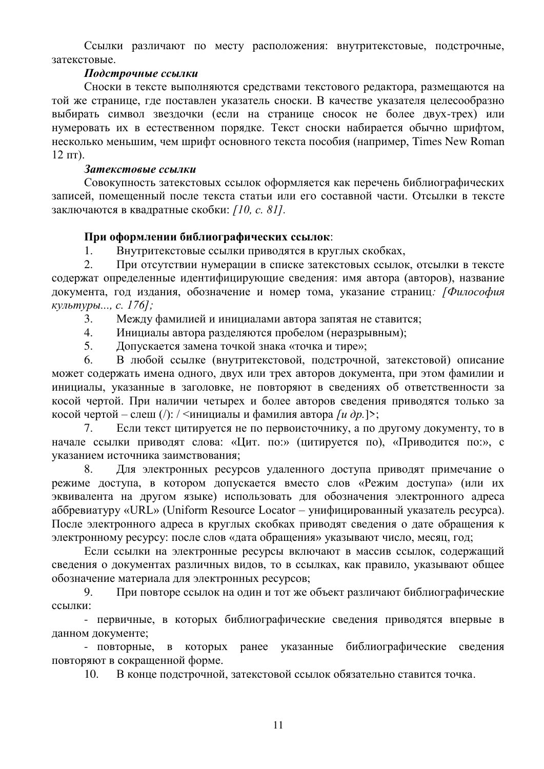Ссылки различают по месту расположения: внутритекстовые, подстрочные, затекстовые

# $\boldsymbol{\Pi}$ одстрочные ссылки

Сноски в тексте выполняются средствами текстового редактора, размещаются на той же странице, где поставлен указатель сноски. В качестве указателя целесообразно выбирать символ звездочки (если на странице сносок не более двух-трех) или нумеровать их в естественном порядке. Текст сноски набирается обычно шрифтом, несколько меньшим, чем шрифт основного текста пособия (например, Times New Roman  $12 \pi T$ ).

# **Затекстовые ссылки**

Совокупность затекстовых ссылок оформляется как перечень библиографических записей, помещенный после текста статьи или его составной части. Отсылки в тексте заключаются в квадратные скобки: *[10, с. 81]*.

# При оформлении библиографических ссылок:

1. Внутритекстовые ссылки приводятся в круглых скобках,

2. При отсутствии нумерации в списке затекстовых ссылок, отсылки в тексте содержат определенные идентифицирующие сведения: имя автора (авторов), название документа, год издания, обозначение и номер тома, указание страниц: [Философия *ɤɭɥɶɬɭɪɵ..., ɫ. 176];*

3. Между фамилией и инициалами автора запятая не ставится;

4. Инициалы автора разделяются пробелом (неразрывным);

5. Лопускается замена точкой знака «точка и тире»;

6. В любой ссылке (внутритекстовой, подстрочной, затекстовой) описание может содержать имена одного, двух или трех авторов документа, при этом фамилии и инициалы, указанные в заголовке, не повторяют в сведениях об ответственности за косой чертой. При наличии четырех и более авторов сведения приводятся только за косой чертой – слеш  $\langle \cdot \rangle$ : /  $\langle \cdot \rangle$ нициалы и фамилия автора *[u др.*]>;

7. Если текст цитируется не по первоисточнику, а по другому документу, то в начале ссылки приводят слова: «Цит. по:» (цитируется по), «Приводится по:», с указанием источника заимствования;

8. Для электронных ресурсов удаленного доступа приводят примечание о режиме доступа, в котором допускается вместо слов «Режим доступа» (или их эквивалента на другом языке) использовать для обозначения электронного адреса аббревиатуру «URL» (Uniform Resource Locator – унифицированный указатель ресурса). После электронного адреса в круглых скобках приводят сведения о дате обращения к электронному ресурсу: после слов «дата обрашения» указывают число, месяц, год:

Если ссылки на электронные ресурсы включают в массив ссылок, содержащий сведения о документах различных видов, то в ссылках, как правило, указывают общее обозначение материала для электронных ресурсов;

9. При повторе ссылок на один и тот же объект различают библиографические ссылки:

- первичные, в которых библиографические сведения приводятся впервые в данном документе;

- повторные, в которых ранее указанные библиографические сведения повторяют в сокращенной форме.

10. В конце подстрочной, затекстовой ссылок обязательно ставится точка.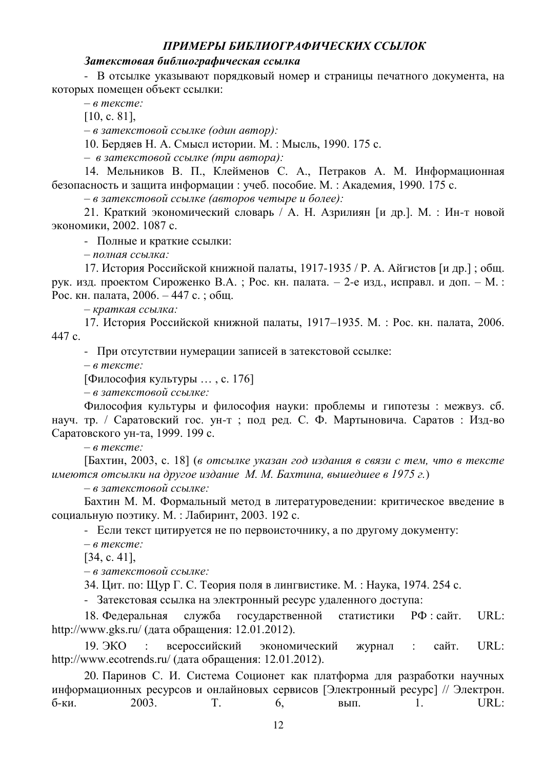# *ɉɊɂɆЕɊЫ ȻɂȻɅɂɈȽɊȺɎɂЧЕɋɄɂɏ ɋɋЫɅɈɄ*

#### Затекстовая библиографическая ссылка

- В отсылке указывают порядковый номер и страницы печатного документа, на которых помешен объект ссылки:

**– в тексте:** 

 $[10, c. 81]$ ,

 $-$  в затекстовой ссылке (один автор):

10. Бердяев Н. А. Смысл истории. М.: Мысль, 1990. 175 с.

 $-$  в затекстовой ссылке (три автора):

14. Мельников В. П., Клейменов С. А., Петраков А. М. Информационная безопасность и защита информации : учеб. пособие. М. : Академия, 1990. 175 с.

 $-$  в затекстовой ссылке (авторов четыре и более):

21. Краткий экономический словарь / А. Н. Азрилиян [и др.]. М. : Ин-т новой экономики, 2002. 1087 с.

- Полные и краткие ссылки:

 $-$  полная ссылка:

17. История Российской книжной палаты, 1917-1935 / Р. А. Айгистов [и др.] ; общ. рук. изд. проектом Сироженко В.А.; Рос. кн. палата. – 2-е изд., исправл. и доп. – М.: Рос. кн. палата, 2006. – 447 с. ; общ.

– краткая ссылка:

17. История Российской книжной палаты, 1917–1935. М.: Рос. кн. палата, 2006.  $447c.$ 

- При отсутствии нумерации записей в затекстовой ссылке:

**– в тексте:** 

 $[Философия культуры ..., c. 176]$ 

 $-$  в затекстовой ссылке:

Философия культуры и философия науки: проблемы и гипотезы: межвуз. сб. науч. тр. / Саратовский гос. ун-т; под ред. С. Ф. Мартыновича. Саратов: Изд-во Саратовского ун-та, 1999. 199 с.

– *в* тексте:

[Бахтин, 2003, с. 18] (*в отсылке указан год издания в связи с тем, что в тексте* имеются отсылки на другое издание М. М. Бахтина, вышедшее в 1975 г.)

 $-$  в затекстовой ссылке:

Бахтин М. М. Формальный метод в литературоведении: критическое введение в социальную поэтику. М.: Лабиринт, 2003. 192 с.

- Если текст цитируется не по первоисточнику, а по другому документу:

 $-$  в тексте:

 $[34, c. 41]$ ,

 $-$  в затекстовой ссылке:

34. Цит. по: Щур Г. С. Теория поля в лингвистике. М. : Наука, 1974. 254 с.

- Затекстовая ссылка на электронный ресурс удаленного доступа:

18. Федеральная служба государственной статистики РФ : сайт. URL: http://www.gks.ru/ (дата обращения: 12.01.2012).

19. ЭКО : всероссийский экономический журнал : сайт. URL: http://www.ecotrends.ru/ (дата обращения: 12.01.2012).

20. Паринов С. И. Система Соционет как платформа для разработки научных информационных ресурсов и онлайновых сервисов [Электронный ресурс] // Электрон. б-ки. 2003. Т. 6, вып. 1. URL: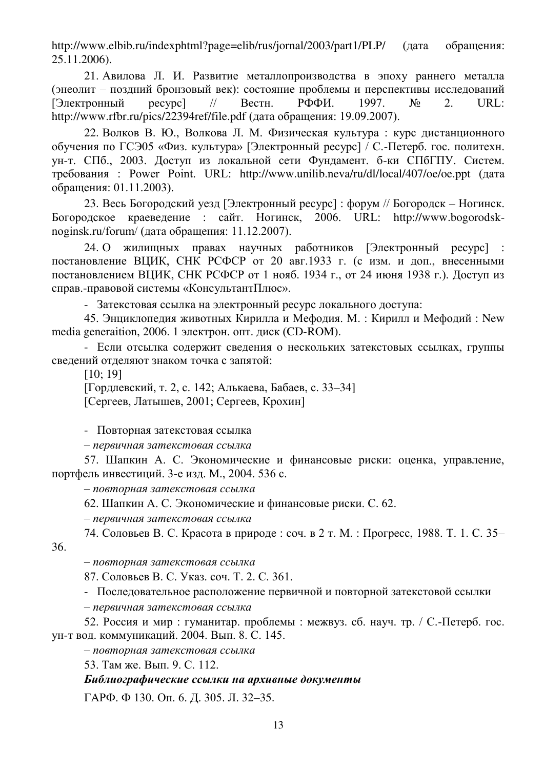http://www.elbib.ru/indexphtml?page=elib/rus/jornal/2003/part1/PLP/ (дата обращения: 25.11.2006).

21. Авилова Л. И. Развитие металлопроизводства в эпоху раннего металла (энеолит – поздний бронзовый век): состояние проблемы и перспективы исследований  $[Электронный$  ресурс] // Вестн. РФФИ. 1997.  $N_2$  2. URL: http://www.rfbr.ru/pics/22394ref/file.pdf (дата обращения: 19.09.2007).

22. Волков В. Ю., Волкова Л. М. Физическая культура: курс дистанционного обучения по ГСЭ05 «Физ. культура» [Электронный ресурс] / С.-Петерб. гос. политехн. ун-т. СПб., 2003. Доступ из локальной сети Фундамент. б-ки СПбГПУ. Систем. требования: Power Point. URL: http://www.unilib.neva/ru/dl/local/407/oe/oe.ppt (дата обращения: 01.11.2003).

23. Весь Богородский уезд [Электронный ресурс] : форум // Богородск – Ногинск. Богородское краеведение : сайт. Ногинск, 2006. URL: http://www.bogorodsknoginsk.ru/forum/ (дата обращения: 11.12.2007).

24. О жилищных правах научных работников [Электронный ресурс] постановление ВЦИК, СНК РСФСР от 20 авг.1933 г. (с изм. и доп., внесенными постановлением ВЦИК, СНК РСФСР от 1 нояб. 1934 г., от 24 июня 1938 г.). Доступ из справ.-правовой системы «КонсультантПлюс».

- Затекстовая ссылка на электронный ресурс локального доступа:

45. Энциклопелия животных Кирилла и Мефолия. М.: Кирилл и Мефолий: New media generaition, 2006. 1 электрон. опт. диск (CD-ROM).

- Если отсылка содержит сведения о нескольких затекстовых ссылках, группы сведений отделяют знаком точка с запятой:

[10; 19]

[Гордлевский, т. 2, с. 142; Алькаева, Бабаев, с. 33–34] [Сергеев, Латышев, 2001; Сергеев, Крохин]

- Повторная затекстовая ссылка

– *ɩɟɪɜɢɱɧɚɹ ɡɚɬɟɤɫɬɨɜɚɹ ɫɫɵɥɤɚ*

57. Шапкин А. С. Экономические и финансовые риски: оценка, управление, портфель инвестиций. 3-е изд. М., 2004. 536 с.

 $-$  повторная затекстовая ссылка

62. Шапкин А. С. Экономические и финансовые риски. С. 62.

– *ɩɟɪɜɢɱɧɚɹ ɡɚɬɟɤɫɬɨɜɚɹ ɫɫɵɥɤɚ*

74. Соловьев В. С. Красота в природе: соч. в 2 т. М.: Прогресс, 1988. Т. 1. С. 35–

36.

 $-$  повторная затекстовая ссылка

87. Соловьев В. С. Указ. соч. Т. 2. С. 361.

- Последовательное расположение первичной и повторной затекстовой ссылки

– *ɩɟɪɜɢɱɧɚɹ ɡɚɬɟɤɫɬɨɜɚɹ ɫɫɵɥɤɚ*

52. Россия и мир: гуманитар. проблемы: межвуз. сб. науч. тр. / С.-Петерб. гос. VH-т вол. коммуникаций. 2004. Вып. 8. С. 145.

 $-$  повторная затекстовая ссылка

53. Там же. Вып. 9. С. 112.

Библиографические ссылки на архивные документы

ГАРФ. Ф 130. Оп. 6. Д. 305. Л. 32–35.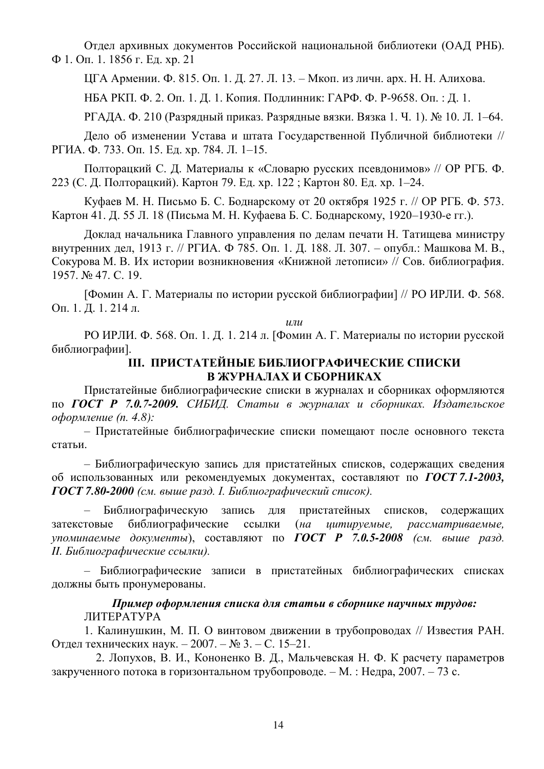Отдел архивных документов Российской национальной библиотеки (ОАД РНБ).  $\Phi$  1. Оп. 1. 1856 г. Ед. хр. 21

ШГА Армении, Ф. 815. Оп. 1. Д. 27. Л. 13. – Мкоп. из личн. арх. Н. Н. Алихова.

НБА РКП. Ф. 2. Оп. 1. Д. 1. Копия. Подлинник: ГАРФ. Ф. Р-9658. Оп. : Д. 1.

 $P\Gamma$ АЛА. Ф. 210 (Разрялный приказ. Разрялные вязки. Вязка 1. Ч. 1). № 10. Л. 1–64.

Дело об изменении Устава и штата Государственной Публичной библиотеки // РГИА. Ф. 733. Оп. 15. Ед. хр. 784. Л. 1–15.

Полторацкий С. Д. Материалы к «Словарю русских псевдонимов» // ОР РГБ. Ф. 223 (С. Д. Полторацкий). Картон 79. Ед. хр. 122 ; Картон 80. Ед. хр. 1–24.

Куфаев М. Н. Письмо Б. С. Боднарскому от 20 октября 1925 г. // ОР РГБ. Ф. 573. Картон 41. Д. 55 Л. 18 (Письма М. Н. Куфаева Б. С. Боднарскому, 1920–1930-е гг.).

Доклад начальника Главного управления по делам печати Н. Татищева министру внутренних дел, 1913 г. // РГИА. Ф 785. Оп. 1. Д. 188. Л. 307. – опубл.: Машкова М. В., Сокурова М. В. Их истории возникновения «Книжной летописи» // Сов. библиография. 1957. № 47. ɋ. 19.

[Фомин А. Г. Материалы по истории русской библиографии] // РО ИРЛИ. Ф. 568. Оп. 1. Д. 1. 214 л.

 $\eta$ 

РО ИРЛИ. Ф. 568. Оп. 1. Д. 1. 214 л. [Фомин А. Г. Материалы по истории русской библиографии].

# **III. ПРИСТАТЕЙНЫЕ БИБЛИОГРАФИЧЕСКИЕ СПИСКИ В ЖУРНАЛАХ И СБОРНИКАХ**

Пристатейные библиографические списки в журналах и сборниках оформляются по ГОСТ Р 7.0.7-2009. СИБИД. Статьи в журналах и сборниках. Издательское *<i>ение* (п. 4.8):

- Пристатейные библиографические списки помещают после основного текста статьи.

- Библиографическую запись для пристатейных списков, содержащих сведения об использованных или рекомендуемых документах, составляют по ГОСТ 7.1-2003, ГОСТ 7.80-2000 (см. выше разд. *І. Библиографический список*).

– Библиографическую запись для пристатейных списков, содержащих затекстовые библиографические ссылки (на цитируемые, рассматриваемые, упоминаемые документы), составляют по **ГОСТ Р 7.0.5-2008** (см. выше разд. **II.** Библиографические ссылки).

– Библиографические записи в пристатейных библиографических списках должны быть пронумерованы.

# Пример оформления списка для статьи в сборнике научных трудов: **ЛИТЕРАТУРА**

1. Калинушкин, М. П. О винтовом движении в трубопроводах // Известия РАН. Отдел технических наук. – 2007. – № 3. – С. 15–21.

2. Лопухов, В. И., Кононенко В. Д., Мальчевская Н. Ф. К расчету параметров закрученного потока в горизонтальном трубопроводе. – М. : Недра, 2007. – 73 с.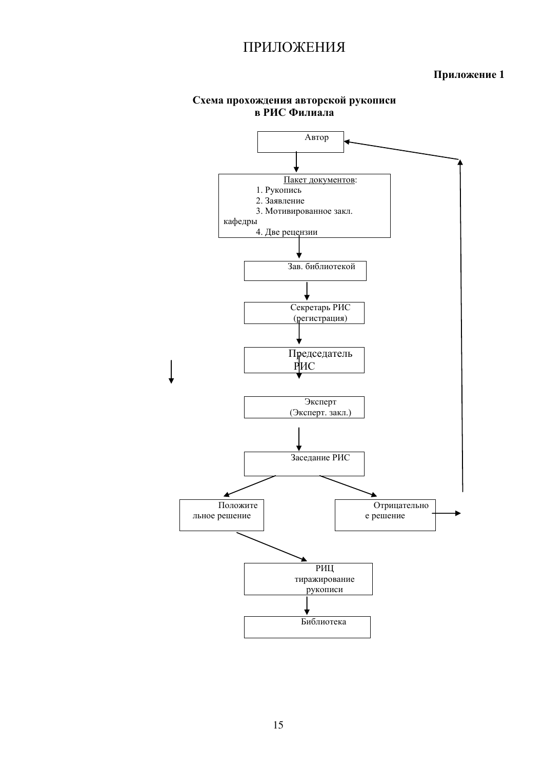# ПРИЛОЖЕНИЯ

# Приложение 1



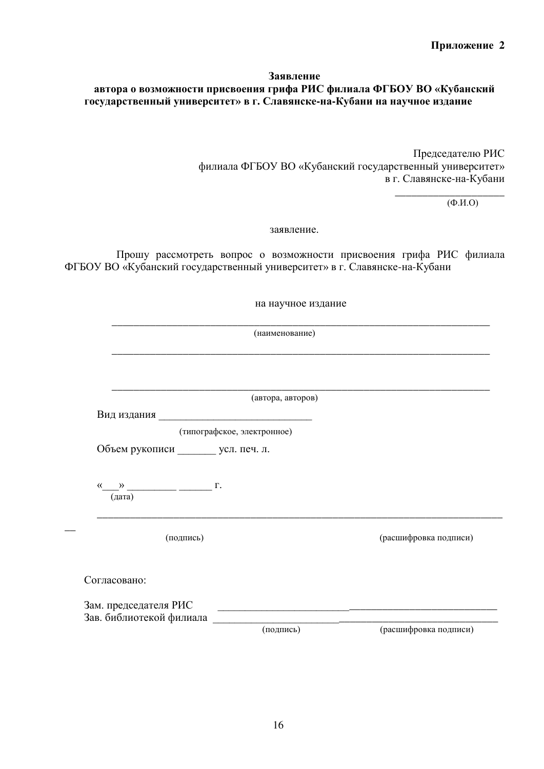# **Заявление** автора о возможности присвоения грифа РИС филиала ФГБОУ ВО «Кубанский государственный университет» в г. Славянске-на-Кубани на научное издание

Председателю РИС филиала ФГБОУ ВО «Кубанский государственный университет» в г. Славянске-на-Кубани

> \_\_\_\_\_\_\_\_\_\_\_\_\_\_\_\_\_\_\_\_  $(\Phi$ .*H*.O)

заявление.

Прошу рассмотреть вопрос о возможности присвоения грифа РИС филиала ФГБОУ ВО «Кубанский государственный университет» в г. Славянске-на-Кубани

на научное издание

\_\_\_\_\_\_\_\_\_\_\_\_\_\_\_\_\_\_\_\_\_\_\_\_\_\_\_\_\_\_\_\_\_\_\_\_\_\_\_\_\_\_\_\_\_\_\_\_\_\_\_\_\_\_\_\_\_\_\_\_\_\_\_\_\_\_\_\_\_

\_\_\_\_\_\_\_\_\_\_\_\_\_\_\_\_\_\_\_\_\_\_\_\_\_\_\_\_\_\_\_\_\_\_\_\_\_\_\_\_\_\_\_\_\_\_\_\_\_\_\_\_\_\_\_\_\_\_\_\_\_\_\_\_\_\_\_\_\_ (наименование)

|                                                                                                                       | (автора, авторов)           |                       |
|-----------------------------------------------------------------------------------------------------------------------|-----------------------------|-----------------------|
| Вид издания производительно при политике и при политике и при политике и при политике и при политике и при политике и |                             |                       |
|                                                                                                                       | (типографское, электронное) |                       |
| Объем рукописи _______ усл. печ. л.                                                                                   |                             |                       |
| $\xleftarrow{\mathcal{R}} \xrightarrow{\qquad} \qquad \qquad$<br>(дата)                                               |                             |                       |
| (подпись)                                                                                                             |                             | (расшифровка подписи) |
| Согласовано:                                                                                                          |                             |                       |
|                                                                                                                       |                             |                       |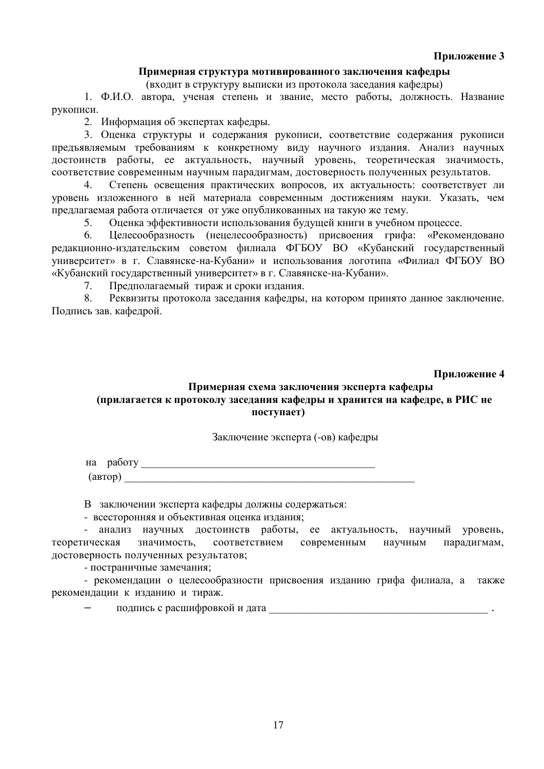## Приложение 3

## Примерная структура мотивированного заключения кафедры

(входит в структуру выписки из протокола заседания кафедры)

1. Ф.И.О. автора, ученая степень и звание, место работы, лолжность, Название рукописи.

2. Информация об экспертах кафедры.

3. Оценка структуры и содержания рукописи, соответствие содержания рукописи предъявляемым требованиям к конкретному виду научного издания. Анализ научных достоинств работы, ее актуальность, научный уровень, теоретическая значимость, соответствие современным научным парадигмам, достоверность полученных результатов.

4. Степень освещения практических вопросов, их актуальность: соответствует ли уровень изложенного в ней материала современным достижениям науки. Указать, чем предлагаемая работа отличается от уже опубликованных на такую же тему.

5. Оценка эффективности использования будущей книги в учебном процессе.

6. Целесообразность (нецелесообразность) присвоения грифа: «Рекомендовано редакционно-издательским советом филиала ФГБОУ ВО «Кубанский государственный университет» в г. Славянске-на-Кубани» и использования логотипа «Филиал ФГБОУ ВО «Кубанский государственный университет» в г. Славянске-на-Кубани».

7. Предполагаемый тираж и сроки издания.

8. Реквизиты протокола заседания кафедры, на котором принято данное заключение. Подпись зав. кафедрой.

Приложение 4

# Примерная схема заключения эксперта кафедры (прилагается к протоколу заседания кафедры и хранится на кафедре, в РИС не поступает)

#### Заключение эксперта (-ов) кафелры

на работу  $(ABTOP)$ 

В заключении эксперта кафедры должны содержаться:

- всесторонняя и объективная оценка издания;

- анализ научных достоинств работы, ее актуальность, научный уровень, теоретическая значимость, соответствием современным научным парадигмам, иостоверность полученных результатов:

- постраничные замечания;

- рекомендации о целесообразности присвоения изданию грифа филиала, а также рекомендации к изданию и тираж.

подпись с расшифровкой и дата и подпись с расшифровкой и дата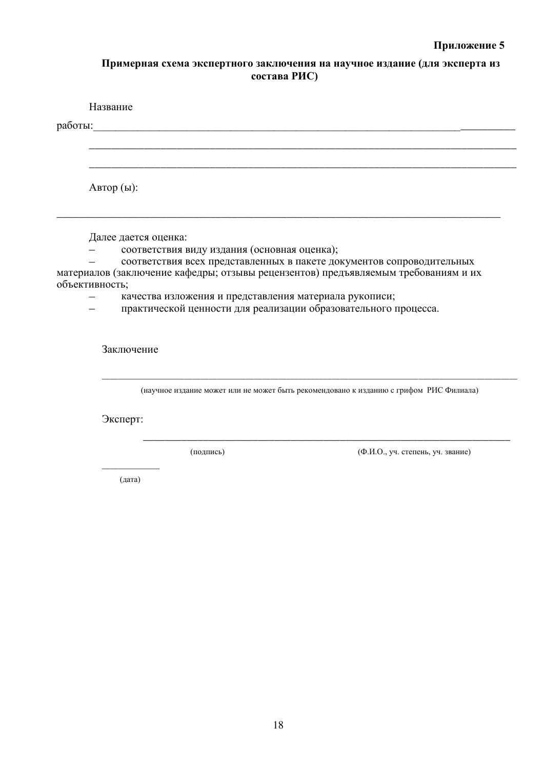# Примерная схема экспертного заключения на научное издание (для эксперта из состава РИС)

|                | Название             |                                                        |                                                                                                                                                             |  |
|----------------|----------------------|--------------------------------------------------------|-------------------------------------------------------------------------------------------------------------------------------------------------------------|--|
| работы:        |                      |                                                        |                                                                                                                                                             |  |
|                |                      |                                                        |                                                                                                                                                             |  |
| Автор (ы):     |                      |                                                        |                                                                                                                                                             |  |
|                | Далее дается оценка: |                                                        |                                                                                                                                                             |  |
|                |                      | соответствия виду издания (основная оценка);           |                                                                                                                                                             |  |
|                |                      |                                                        | соответствия всех представленных в пакете документов сопроводительных<br>материалов (заключение кафедры; отзывы рецензентов) предъявляемым требованиям и их |  |
| объективность; |                      | качества изложения и представления материала рукописи; |                                                                                                                                                             |  |
|                |                      |                                                        | практической ценности для реализации образовательного процесса.                                                                                             |  |
|                | Заключение           |                                                        | (научное издание может или не может быть рекомендовано к изданию с грифом РИС Филиала)                                                                      |  |
|                | Эксперт:             |                                                        |                                                                                                                                                             |  |
|                |                      | (подпись)                                              | (Ф.И.О., уч. степень, уч. звание)                                                                                                                           |  |
|                | (дата)               |                                                        |                                                                                                                                                             |  |
|                |                      |                                                        |                                                                                                                                                             |  |
|                |                      |                                                        |                                                                                                                                                             |  |
|                |                      |                                                        |                                                                                                                                                             |  |
|                |                      |                                                        |                                                                                                                                                             |  |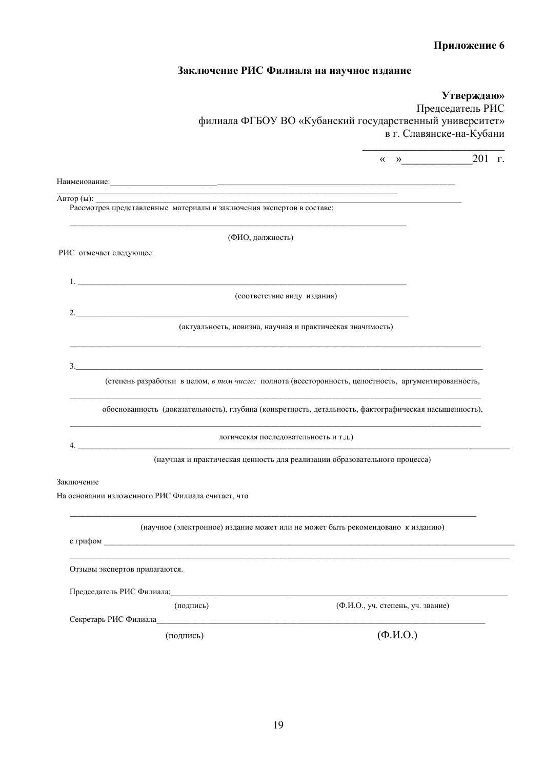# Приложение 6

# Заключение РИС Филиала на научное издание

| филиала ФГБОУ ВО «Кубанский государственный университет»                                              | Утверждаю»<br>Председатель РИС                          |                  |  |
|-------------------------------------------------------------------------------------------------------|---------------------------------------------------------|------------------|--|
|                                                                                                       | в г. Славянске-на-Кубани                                |                  |  |
|                                                                                                       | $\left\langle \left\langle \right\rangle \right\rangle$ | $201$ $\Gamma$ . |  |
|                                                                                                       |                                                         |                  |  |
| Рассмотрев представленные материалы и заключения экспертов в составе:                                 |                                                         |                  |  |
| (ФИО, должность)                                                                                      |                                                         |                  |  |
| РИС отмечает следующее:                                                                               |                                                         |                  |  |
|                                                                                                       |                                                         |                  |  |
| 1.                                                                                                    |                                                         |                  |  |
| (соответствие виду издания)<br>2.                                                                     |                                                         |                  |  |
| (актуальность, новизна, научная и практическая значимость)                                            |                                                         |                  |  |
| 3.                                                                                                    |                                                         |                  |  |
| (степень разработки в целом, в том числе: полнота (всесторонность, целостность, аргументированность,  |                                                         |                  |  |
| обоснованность (доказательность), глубина (конкретность, детальность, фактографическая насыщенность), |                                                         |                  |  |
| логическая последовательность и т.д.)<br><u> 2000 - Jan Barnett, mars et al. (</u>                    |                                                         |                  |  |
| (научная и практическая ценность для реализации образовательного процесса)                            |                                                         |                  |  |
| Заключение                                                                                            |                                                         |                  |  |
| На основании изложенного РИС Филиала считает, что                                                     |                                                         |                  |  |
| (научное (электронное) издание может или не может быть рекомендовано к изданию)                       |                                                         |                  |  |
| Отзывы экспертов прилагаются.                                                                         |                                                         |                  |  |
| Председатель РИС Филиала: Председатель РИС Филиала:                                                   |                                                         |                  |  |
| (подпись)                                                                                             | (Ф.И.О., уч. степень, уч. звание)                       |                  |  |
|                                                                                                       |                                                         |                  |  |
| (подпись)                                                                                             | $(\Phi$ <sub>M</sub> .O.)                               |                  |  |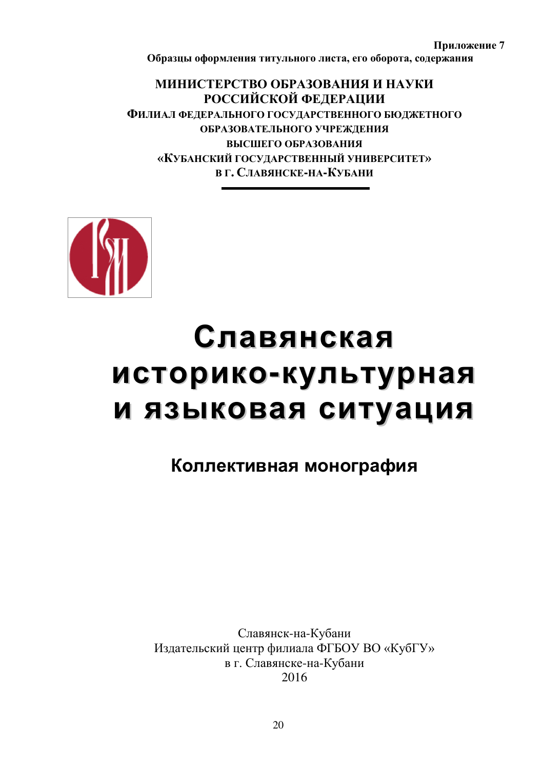Приложение 7 Образцы оформления титульного листа, его оборота, содержания

**МИНИСТЕРСТВО ОБРАЗОВАНИЯ И НАУКИ** РОССИЙСКОЙ ФЕДЕРАЦИИ ФИЛИАЛ ФЕДЕРАЛЬНОГО ГОСУДАРСТВЕННОГО БЮДЖЕТНОГО ОБРАЗОВАТЕЛЬНОГО УЧРЕЖДЕНИЯ ВЫСШЕГО ОБРАЗОВАНИЯ «КУБАНСКИЙ ГОСУДАРСТВЕННЫЙ УНИВЕРСИТЕТ»  $B$  Г. СЛАВЯНСКЕ-НА-КУБАНИ



# Славянская историко-культурная и языковая ситуация

# Коллективная монография

Славянск-на-Кубани Издательский центр филиала ФГБОУ ВО «КубГУ» в г. Славянске-на-Кубани 2016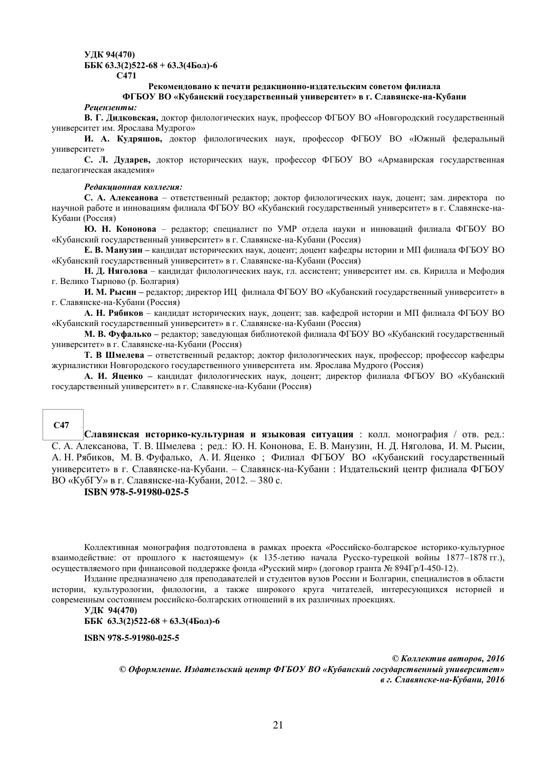#### **ɍȾɄ 94(470) ББК 63.3(2)522-68 + 63.3(4Бол)-6 ɋ471**

#### Рекомендовано к печати редакционно-издательским советом филиала

#### **ɎȽȻɈɍ ȼɈ «Ʉɭɛɚɧɫɤɢɣ ɝɨɫɭɞɚɪɫɬɜɟɧɧɵɣ ɭɧɢɜɟɪɫɢɬɟɬ» ɜ ɝ. ɋɥɚɜɹɧɫɤɟ-ɧɚ-Ʉɭɛɚɧɢ**

#### **Реиензенты:**

В. Г. Дидковская, доктор филологических наук, профессор ФГБОУ ВО «Новгородский государственный университет им. Ярослава Мудрого»

И. А. Кудряшов, доктор филологических наук, профессор ФГБОУ ВО «Южный федеральный yниверситет»

С. Л. Дударев, доктор исторических наук, профессор ФГБОУ ВО «Армавирская государственная педагогическая академия»

#### $P$ едакиионная коллегия:

С. А. Алексанова – ответственный редактор; доктор филологических наук, доцент; зам. директора по научной работе и инновациям филиала ФГБОУ ВО «Кубанский государственный университет» в г. Славянске-на-Кубани (Россия)

Ю. Н. Кононова – редактор; специалист по УМР отдела науки и инноваций филиала ФГБОУ ВО «Кубанский государственный университет» в г. Славянске-на-Кубани (Россия)

**Е. В. Манузин – кандидат исторических наук, доцент; доцент кафедры истории и МП филиала ФГБОУ ВО** «Кубанский государственный университет» в г. Славянске-на-Кубани (Россия)

**Н. Д. Няголова** – кандидат филологических наук, гл. ассистент; университет им. св. Кирилла и Мефодия г. Велико Тырново (р. Болгария)

И. М. Рысин – редактор; директор ИЦ филиала ФГБОУ ВО «Кубанский государственный университет» в г. Славянске-на-Кубани (Россия)

А. Н. Рябиков – кандидат исторических наук, доцент; зав. кафедрой истории и МП филиала ФГБОУ ВО «Кубанский государственный университет» в г. Славянске-на-Кубани (Россия)

М. В. Фуфалько – редактор; заведующая библиотекой филиала ФГБОУ ВО «Кубанский государственный университет» в г. Славянске-на-Кубани (Россия)

**Т. В Шмелева** – ответственный редактор; доктор филологических наук, профессор; профессор кафедры журналистики Новгородского государственного университета им. Ярослава Мудрого (Россия)

А. И. Яценко – кандидат филологических наук, доцент; директор филиала ФГБОУ ВО «Кубанский государственный университет» в г. Славянске-на-Кубани (Россия)

#### **ɋ47**

**Славянская историко-культурная и языковая ситуация** : колл. монография / отв. ред.: С. А. Алексанова, Т. В. Шмелева; ред.: Ю. Н. Кононова, Е. В. Манузин, Н. Д. Няголова, И. М. Рысин, А. Н. Рябиков, М. В. Фуфалько, А. И. Яценко; Филиал ФГБОУ ВО «Кубанский государственный үниверситет» в г. Славянске-на-Кубани. – Славянск-на-Кубани : Издательский центр филиала ФГБОУ ВО «КубГУ» в г. Славянске-на-Кубани, 2012. – 380 с.

#### **ISBN 978-5-91980-025-5**

Коллективная монография подготовлена в рамках проекта «Российско-болгарское историко-культурное взаимодействие: от прошлого к настоящему» (к 135-летию начала Русско-турецкой войны 1877–1878 гг.), осуществляемого при финансовой поддержке фонда «Русский мир» (договор гранта № 894Гр/I-450-12).

Издание предназначено для преподавателей и студентов вузов России и Болгарии, специалистов в области истории, культурологии, филологии, а также широкого круга читателей, интересующихся историей и современным состоянием российско-болгарских отношений в их различных проекциях.

**ɍȾɄ 94(470) GGK**  $63.3(2)522-68 + 63.3(460\pi)-6$ 

**ISBN 978-5-91980-025-5** 

© Коллектив авторов. 2016 © Оформление. Издательский иентр ФГБОУ ВО «Кубанский государственный университет» *ɜ ɝ. ɋɥɚɜяɧɫɤɟ-ɧɚ-Ʉɭɛɚɧɢ, 2016*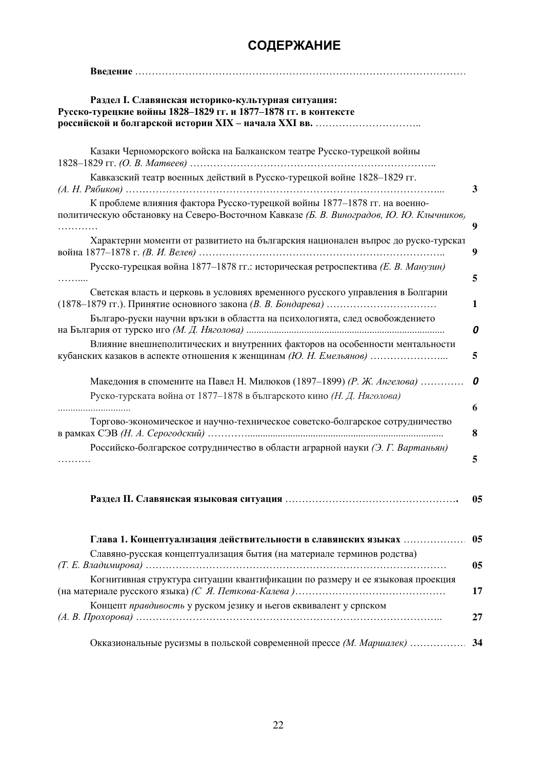# СОДЕРЖАНИЕ

| Раздел I. Славянская историко-культурная ситуация:<br>Русско-турецкие войны 1828-1829 гг. и 1877-1878 гг. в контексте                                                |                |
|----------------------------------------------------------------------------------------------------------------------------------------------------------------------|----------------|
| Казаки Черноморского войска на Балканском театре Русско-турецкой войны                                                                                               |                |
| Кавказский театр военных действий в Русско-турецкой войне 1828-1829 гг.                                                                                              | 3              |
| К проблеме влияния фактора Русско-турецкой войны 1877-1878 гг. на военно-<br>политическую обстановку на Северо-Восточном Кавказе (Б. В. Виноградов, Ю. Ю. Клычников) | 9              |
| Характерни моменти от развитието на българския национален въпрос до руско-турскат                                                                                    | 9              |
| Русско-турецкая война 1877-1878 гг.: историческая ретроспектива (Е. В. Манузин)                                                                                      | 5              |
| Светская власть и церковь в условиях временного русского управления в Болгарии                                                                                       | 1              |
| Българо-руски научни връзки в областта на психологията, след освобождението                                                                                          | 0              |
| Влияние внешнеполитических и внутренних факторов на особенности ментальности                                                                                         | 5              |
| Македония в спомените на Павел Н. Милюков (1897–1899) (Р. Ж. Ангелова)<br>Руско-турската война от 1877-1878 в българското кино (Н. Д. Няголова)                      | 0<br>6         |
| Торгово-экономическое и научно-техническое советско-болгарское сотрудничество                                                                                        | 8              |
| Российско-болгарское сотрудничество в области аграрной науки (Э. Г. Вартаньян)                                                                                       | 5              |
|                                                                                                                                                                      | 0 <sub>5</sub> |
| Глава 1. Концептуализация действительности в славянских языках<br>Славяно-русская концептуализация бытия (на материале терминов родства)                             | 0 <sub>5</sub> |
| Когнитивная структура ситуации квантификации по размеру и ее языковая проекция                                                                                       | 05             |
| Концепт правдивость у руском језику и његов еквивалент у српском                                                                                                     | 17<br>27       |
| Окказиональные русизмы в польской современной прессе (М. Маршалек)                                                                                                   | 34             |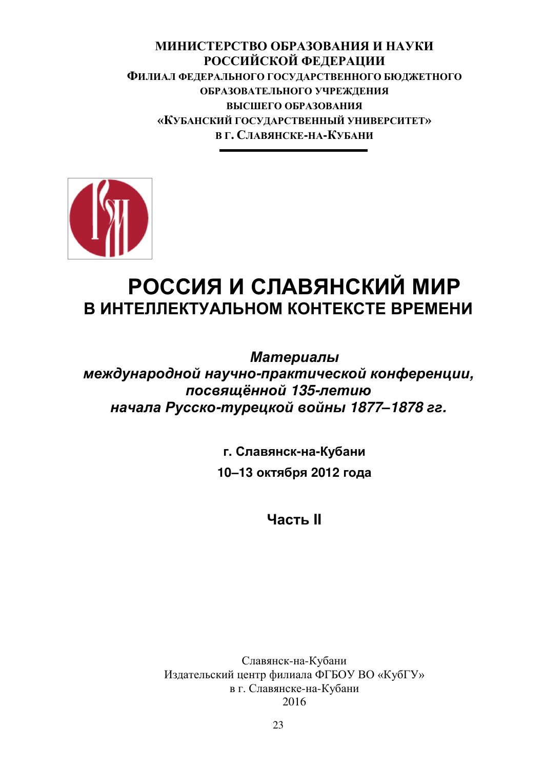**МИНИСТЕРСТВО ОБРАЗОВАНИЯ И НАУКИ** РОССИЙСКОЙ ФЕДЕРАЦИИ **ФИЛИАЛ ФЕДЕРАЛЬНОГО ГОСУДАРСТВЕННОГО БЮДЖЕТНОГО** ОБРАЗОВАТЕЛЬНОГО УЧРЕЖЛЕНИЯ ВЫСШЕГО ОБРАЗОВАНИЯ «КУБАНСКИЙ ГОСУЛАРСТВЕННЫЙ УНИВЕРСИТЕТ»  $B$  Г. СЛАВЯНСКЕ-НА-КУБАНИ



# РОССИЯ И СЛАВЯНСКИЙ МИР **В ИНТЕЛЛЕКТУАЛЬНОМ КОНТЕКСТЕ ВРЕМЕНИ**

**Материалы** *ɦɟɠɞɭɧаɪɨɞɧɨɣ ɧаɭɱɧɨ-ɩɪаɤɬɢɱɟɫɤɨɣ ɤɨɧɮɟɪɟɧɰɢɢ,*   $посвящённой 135-летив$ *ɧаɱаɥа Рɭɫɫɤɨ-ɬɭɪɟɰɤɨɣ ɜɨɣɧы 1877–1878 ɝɝ.* 

> **Славянск-на-Кубани**  $10 - 13$  октября 2012 года

> > **UACTH**

Славянск-на-Кубани Издательский центр филиала ФГБОУ ВО «КубГУ» в г. Славянске-на-Кубани 2016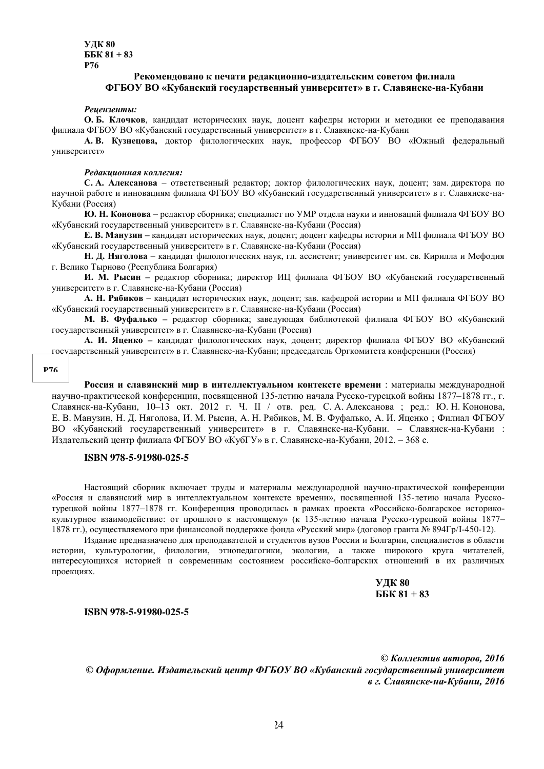**ɍȾɄ 80**  $\overline{B}K 81 + 83$ **Ɋ76**

#### Рекоменловано к печати релакционно-излательским советом филиала **ɎȽȻɈɍ ȼɈ «Ʉɭɛɚɧɫɤɢɣ ɝɨɫɭɞɚɪɫɬɜɟɧɧɵɣ ɭɧɢɜɟɪɫɢɬɟɬ» ɜ ɝ. ɋɥɚɜɹɧɫɤɟ-ɧɚ-Ʉɭɛɚɧɢ**

#### **Рецензенты:**

**О. Б. Клочков, кандидат исторических наук, доцент кафедры истории и методики ее преподавания** филиала ФГБОУ ВО «Кубанский государственный университет» в г. Славянске-на-Кубани

А. В. Кузнецова, доктор филологических наук, профессор ФГБОУ ВО «Южный федеральный vниверситет»

#### Редакиионная коллегия:

С. А. Алексанова – ответственный редактор; доктор филологических наук, доцент; зам. директора по научной работе и инновациям филиала ФГБОУ ВО «Кубанский государственный университет» в г. Славянске-на-Кубани (Россия)

**Ю. Н. Кононова** – редактор сборника; специалист по УМР отдела науки и инноваций филиала ФГБОУ ВО «Кубанский государственный университет» в г. Славянске-на-Кубани (Россия)

**Е. В. Манузин** – кандидат исторических наук, доцент; доцент кафедры истории и МП филиала ФГБОУ ВО «Кубанский государственный университет» в г. Славянске-на-Кубани (Россия)

**Н. Д. Няголова** – кандидат филологических наук, гл. ассистент; университет им. св. Кирилла и Мефодия г. Велико Тырново (Республика Болгария)

**И. М. Рысин** – редактор сборника; директор ИЦ филиала ФГБОУ ВО «Кубанский государственный университет» в г. Славянске-на-Кубани (Россия)

А. Н. Рябиков – кандидат исторических наук, доцент; зав. кафедрой истории и МП филиала ФГБОУ ВО «Кубанский государственный университет» в г. Славянске-на-Кубани (Россия)

М. В. Фуфалько - редактор сборника; заведующая библиотекой филиала ФГБОУ ВО «Кубанский государственный университет» в г. Славянске-на-Кубани (Россия)

А. И. Яценко – кандидат филологических наук, доцент; директор филиала ФГБОУ ВО «Кубанский государственный университет» в г. Славянске-на-Кубани; председатель Оргкомитета конференции (Россия)

#### **Ɋ76**

Россия и славянский мир в интеллектуальном контексте времени : материалы международной научно-практической конференции, посвященной 135-летию начала Русско-турецкой войны 1877–1878 гг., г. Славянск-на-Кубани, 10–13 окт. 2012 г. Ч. II / отв. ред. С. А. Алексанова ; ред.: Ю. Н. Кононова, Е. В. Манузин, Н. Д. Няголова, И. М. Рысин, А. Н. Рябиков, М. В. Фуфалько, А. И. Яценко; Филиал ФГБОУ ВО «Кубанский государственный университет» в г. Славянске-на-Кубани. – Славянск-на-Кубани : Издательский центр филиала ФГБОУ ВО «КубГУ» в г. Славянске-на-Кубани, 2012. – 368 с.

#### **ISBN 978-5-91980-025-5**

Настоящий сборник включает труды и материалы международной научно-практической конференции «Россия и славянский мир в интеллектуальном контексте времени», посвященной 135-летию начала Русскотурецкой войны 1877–1878 гг. Конференция проводилась в рамках проекта «Российско-болгарское историкокультурное взаимодействие: от прошлого к настоящему» (к 135-летию начала Русско-турецкой войны 1877– 1878 гг.), осуществляемого при финансовой поддержке фонда «Русский мир» (договор гранта № 894Гр/І-450-12).

Издание предназначено для преподавателей и студентов вузов России и Болгарии, специалистов в области истории, культурологии, филологии, этнопедагогики, экологии, а также широкого круга читателей, интересующихся историей и современным состоянием российско-болгарских отношений в их различных проекциях.

#### **ɍȾɄ 80 GGK 81 + 83**

#### **ISBN 978-5-91980-025-5**

© Коллектив авторов, 2016 © Оформление. Издательский центр ФГБОУ ВО «Кубанский государственный университет *ɜ ɝ. ɋɥɚɜяɧɫɤɟ-ɧɚ-Ʉɭɛɚɧɢ, 2016*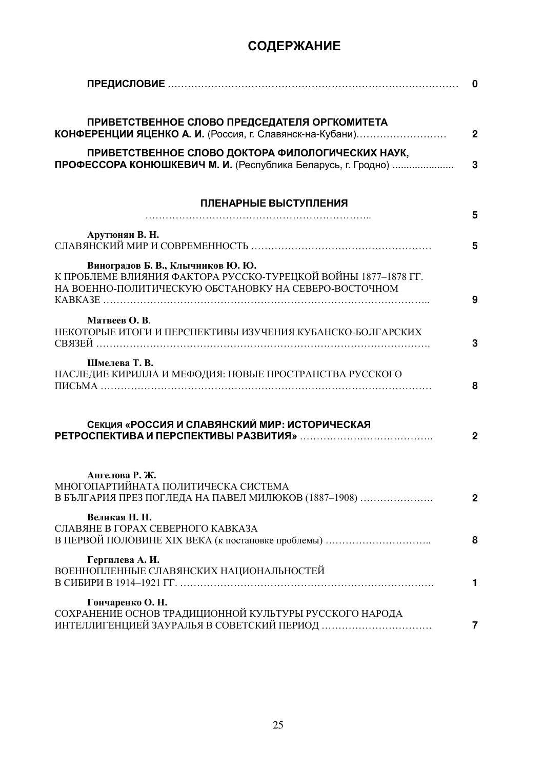# СОДЕРЖАНИЕ

|                                                                                                                                                              | 0            |
|--------------------------------------------------------------------------------------------------------------------------------------------------------------|--------------|
| ПРИВЕТСТВЕННОЕ СЛОВО ПРЕДСЕДАТЕЛЯ ОРГКОМИТЕТА<br>КОНФЕРЕНЦИИ ЯЦЕНКО А. И. (Россия, г. Славянск-на-Кубани)                                                    | $\mathbf{2}$ |
| ПРИВЕТСТВЕННОЕ СЛОВО ДОКТОРА ФИЛОЛОГИЧЕСКИХ НАУК,<br>ПРОФЕССОРА КОНЮШКЕВИЧ М. И. (Республика Беларусь, г. Гродно)                                            | 3            |
| ПЛЕНАРНЫЕ ВЫСТУПЛЕНИЯ                                                                                                                                        | 5            |
| Арутюнян В. Н.                                                                                                                                               | 5            |
| Виноградов Б. В., Клычников Ю. Ю.<br>К ПРОБЛЕМЕ ВЛИЯНИЯ ФАКТОРА РУССКО-ТУРЕЦКОЙ ВОЙНЫ 1877-1878 ГГ.<br>НА ВОЕННО-ПОЛИТИЧЕСКУЮ ОБСТАНОВКУ НА СЕВЕРО-ВОСТОЧНОМ | 9            |
| Матвеев О. В.<br>НЕКОТОРЫЕ ИТОГИ И ПЕРСПЕКТИВЫ ИЗУЧЕНИЯ КУБАНСКО-БОЛГАРСКИХ                                                                                  | 3            |
| Шмелева Т. В.<br>НАСЛЕДИЕ КИРИЛЛА И МЕФОДИЯ: НОВЫЕ ПРОСТРАНСТВА РУССКОГО                                                                                     | 8            |
| СЕКЦИЯ «РОССИЯ И СЛАВЯНСКИЙ МИР: ИСТОРИЧЕСКАЯ                                                                                                                | $\mathbf{2}$ |
| Ангелова Р. Ж.<br>МНОГОПАРТИЙНАТА ПОЛИТИЧЕСКА СИСТЕМА<br>В БЪЛГАРИЯ ПРЕЗ ПОГЛЕДА НА ПАВЕЛ МИЛЮКОВ (1887-1908)                                                | $\mathbf{2}$ |
| Великая Н. Н.<br>СЛАВЯНЕ В ГОРАХ СЕВЕРНОГО КАВКАЗА                                                                                                           | 8            |
| Гергилева А. И.<br>ВОЕННОПЛЕННЫЕ СЛАВЯНСКИХ НАЦИОНАЛЬНОСТЕЙ                                                                                                  | 1            |
| Гончаренко О. Н.<br>СОХРАНЕНИЕ ОСНОВ ТРАДИЦИОННОЙ КУЛЬТУРЫ РУССКОГО НАРОДА                                                                                   | 7            |